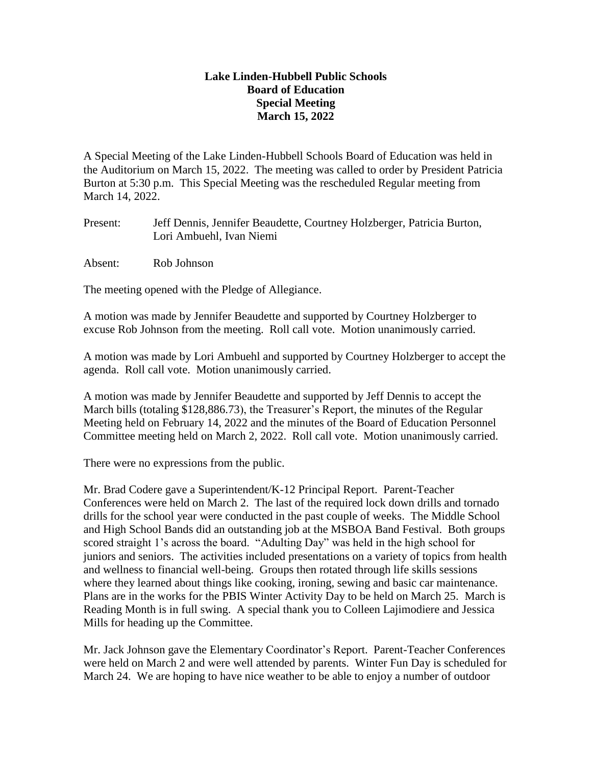## **Lake Linden-Hubbell Public Schools Board of Education Special Meeting March 15, 2022**

A Special Meeting of the Lake Linden-Hubbell Schools Board of Education was held in the Auditorium on March 15, 2022. The meeting was called to order by President Patricia Burton at 5:30 p.m. This Special Meeting was the rescheduled Regular meeting from March 14, 2022.

Present: Jeff Dennis, Jennifer Beaudette, Courtney Holzberger, Patricia Burton, Lori Ambuehl, Ivan Niemi

Absent: Rob Johnson

The meeting opened with the Pledge of Allegiance.

A motion was made by Jennifer Beaudette and supported by Courtney Holzberger to excuse Rob Johnson from the meeting. Roll call vote. Motion unanimously carried.

A motion was made by Lori Ambuehl and supported by Courtney Holzberger to accept the agenda. Roll call vote. Motion unanimously carried.

A motion was made by Jennifer Beaudette and supported by Jeff Dennis to accept the March bills (totaling \$128,886.73), the Treasurer's Report, the minutes of the Regular Meeting held on February 14, 2022 and the minutes of the Board of Education Personnel Committee meeting held on March 2, 2022. Roll call vote. Motion unanimously carried.

There were no expressions from the public.

Mr. Brad Codere gave a Superintendent/K-12 Principal Report. Parent-Teacher Conferences were held on March 2. The last of the required lock down drills and tornado drills for the school year were conducted in the past couple of weeks. The Middle School and High School Bands did an outstanding job at the MSBOA Band Festival. Both groups scored straight 1's across the board. "Adulting Day" was held in the high school for juniors and seniors. The activities included presentations on a variety of topics from health and wellness to financial well-being. Groups then rotated through life skills sessions where they learned about things like cooking, ironing, sewing and basic car maintenance. Plans are in the works for the PBIS Winter Activity Day to be held on March 25. March is Reading Month is in full swing. A special thank you to Colleen Lajimodiere and Jessica Mills for heading up the Committee.

Mr. Jack Johnson gave the Elementary Coordinator's Report. Parent-Teacher Conferences were held on March 2 and were well attended by parents. Winter Fun Day is scheduled for March 24. We are hoping to have nice weather to be able to enjoy a number of outdoor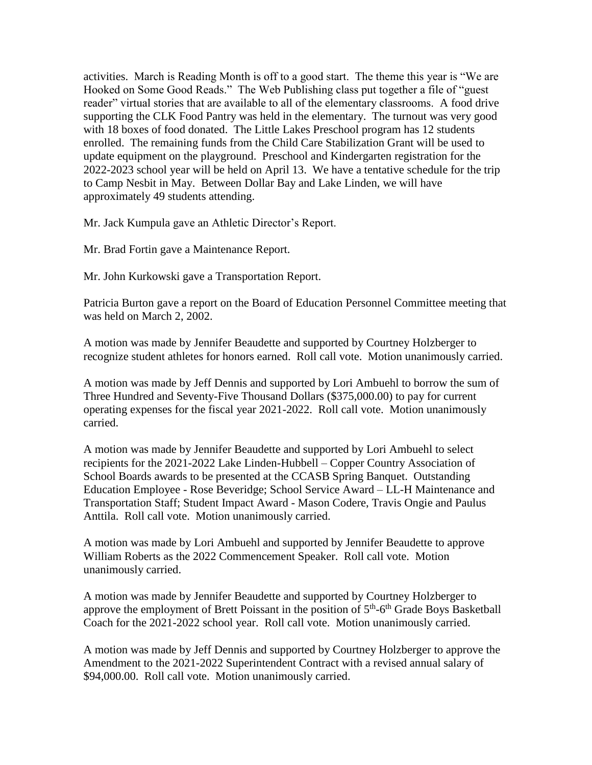activities. March is Reading Month is off to a good start. The theme this year is "We are Hooked on Some Good Reads." The Web Publishing class put together a file of "guest reader" virtual stories that are available to all of the elementary classrooms. A food drive supporting the CLK Food Pantry was held in the elementary. The turnout was very good with 18 boxes of food donated. The Little Lakes Preschool program has 12 students enrolled. The remaining funds from the Child Care Stabilization Grant will be used to update equipment on the playground. Preschool and Kindergarten registration for the 2022-2023 school year will be held on April 13. We have a tentative schedule for the trip to Camp Nesbit in May. Between Dollar Bay and Lake Linden, we will have approximately 49 students attending.

Mr. Jack Kumpula gave an Athletic Director's Report.

Mr. Brad Fortin gave a Maintenance Report.

Mr. John Kurkowski gave a Transportation Report.

Patricia Burton gave a report on the Board of Education Personnel Committee meeting that was held on March 2, 2002.

A motion was made by Jennifer Beaudette and supported by Courtney Holzberger to recognize student athletes for honors earned. Roll call vote. Motion unanimously carried.

A motion was made by Jeff Dennis and supported by Lori Ambuehl to borrow the sum of Three Hundred and Seventy-Five Thousand Dollars (\$375,000.00) to pay for current operating expenses for the fiscal year 2021-2022. Roll call vote. Motion unanimously carried.

A motion was made by Jennifer Beaudette and supported by Lori Ambuehl to select recipients for the 2021-2022 Lake Linden-Hubbell – Copper Country Association of School Boards awards to be presented at the CCASB Spring Banquet. Outstanding Education Employee - Rose Beveridge; School Service Award – LL-H Maintenance and Transportation Staff; Student Impact Award - Mason Codere, Travis Ongie and Paulus Anttila. Roll call vote. Motion unanimously carried.

A motion was made by Lori Ambuehl and supported by Jennifer Beaudette to approve William Roberts as the 2022 Commencement Speaker. Roll call vote. Motion unanimously carried.

A motion was made by Jennifer Beaudette and supported by Courtney Holzberger to approve the employment of Brett Poissant in the position of  $5<sup>th</sup>$ -6<sup>th</sup> Grade Boys Basketball Coach for the 2021-2022 school year. Roll call vote. Motion unanimously carried.

A motion was made by Jeff Dennis and supported by Courtney Holzberger to approve the Amendment to the 2021-2022 Superintendent Contract with a revised annual salary of \$94,000.00. Roll call vote. Motion unanimously carried.